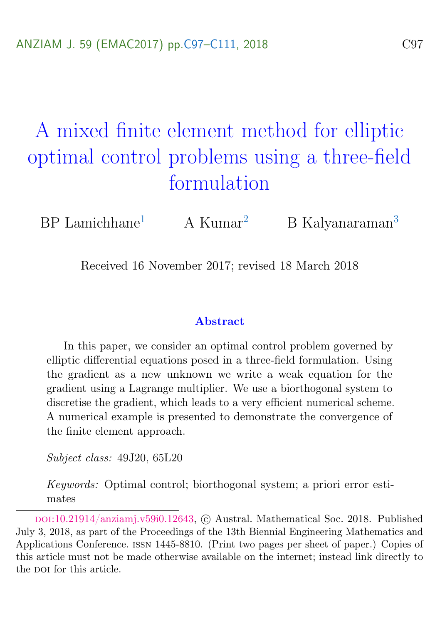# <span id="page-0-0"></span>A mixed finite element method for elliptic optimal control problems using a three-field formulation

 $BP$  Lamichhane<sup>[1](#page-14-1)</sup> A Kumar<sup>[2](#page-14-2)</sup> B Kalyanaraman<sup>[3](#page-14-0)</sup>

Received 16 November 2017; revised 18 March 2018

#### Abstract

In this paper, we consider an optimal control problem governed by elliptic differential equations posed in a three-field formulation. Using the gradient as a new unknown we write a weak equation for the gradient using a Lagrange multiplier. We use a biorthogonal system to discretise the gradient, which leads to a very efficient numerical scheme. A numerical example is presented to demonstrate the convergence of the finite element approach.

Subject class: 49J20, 65L20

Keywords: Optimal control; biorthogonal system; a priori error estimates

doi:[10.21914/anziamj.v59i0.12643,](https://doi.org/10.21914/anziamj.v59i0.12643) c Austral. Mathematical Soc. 2018. Published July 3, 2018, as part of the Proceedings of the 13th Biennial Engineering Mathematics and Applications Conference. issn 1445-8810. (Print two pages per sheet of paper.) Copies of this article must not be made otherwise available on the internet; instead link directly to the pot for this article.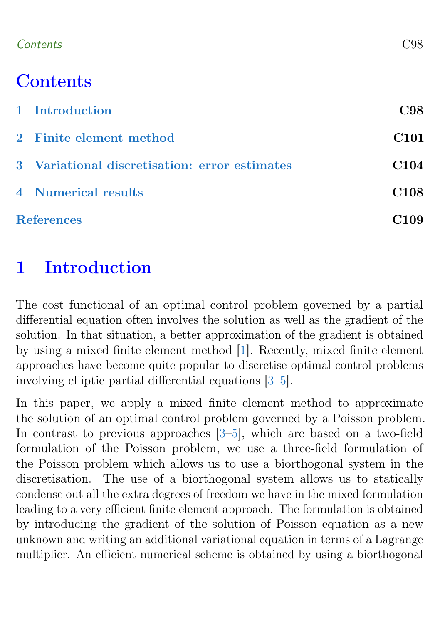### <span id="page-1-1"></span>Contents C98

# **Contents**

|                   | 1 Introduction                                | C98              |
|-------------------|-----------------------------------------------|------------------|
|                   | 2 Finite element method                       | C <sub>101</sub> |
|                   | 3 Variational discretisation: error estimates | C <sub>104</sub> |
|                   | 4 Numerical results                           | C <sub>108</sub> |
| <b>References</b> |                                               | C <sub>109</sub> |

# <span id="page-1-0"></span>1 Introduction

The cost functional of an optimal control problem governed by a partial differential equation often involves the solution as well as the gradient of the solution. In that situation, a better approximation of the gradient is obtained by using a mixed finite element method [\[1\]](#page-12-1). Recently, mixed finite element approaches have become quite popular to discretise optimal control problems involving elliptic partial differential equations [\[3–](#page-12-2)[5\]](#page-12-3).

In this paper, we apply a mixed finite element method to approximate the solution of an optimal control problem governed by a Poisson problem. In contrast to previous approaches [\[3](#page-12-2)[–5\]](#page-12-3), which are based on a two-field formulation of the Poisson problem, we use a three-field formulation of the Poisson problem which allows us to use a biorthogonal system in the discretisation. The use of a biorthogonal system allows us to statically condense out all the extra degrees of freedom we have in the mixed formulation leading to a very efficient finite element approach. The formulation is obtained by introducing the gradient of the solution of Poisson equation as a new unknown and writing an additional variational equation in terms of a Lagrange multiplier. An efficient numerical scheme is obtained by using a biorthogonal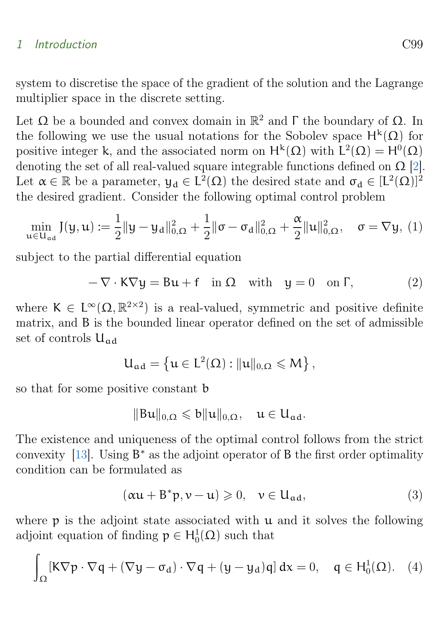### <span id="page-2-1"></span>1 Introduction C99

system to discretise the space of the gradient of the solution and the Lagrange multiplier space in the discrete setting.

Let  $\Omega$  be a bounded and convex domain in  $\mathbb{R}^2$  and  $\Gamma$  the boundary of  $\Omega$ . In the following we use the usual notations for the Sobolev space  $H^k(\Omega)$  for positive integer k, and the associated norm on  $H^k(\Omega)$  with  $L^2(\Omega) = H^0(\Omega)$ denoting the set of all real-valued square integrable functions defined on  $\Omega$  [\[2\]](#page-12-4). Let  $\alpha \in \mathbb{R}$  be a parameter,  $y_d \in L^2(\Omega)$  the desired state and  $\sigma_d \in [L^2(\Omega)]^2$ the desired gradient. Consider the following optimal control problem

$$
\min_{\mathbf{u}\in\mathbf{U}_{ad}} J(\mathbf{y}, \mathbf{u}) := \frac{1}{2} \|\mathbf{y} - \mathbf{y}_d\|_{0,\Omega}^2 + \frac{1}{2} \|\sigma - \sigma_d\|_{0,\Omega}^2 + \frac{\alpha}{2} \|\mathbf{u}\|_{0,\Omega}^2, \quad \sigma = \nabla \mathbf{y}, \tag{1}
$$

subject to the partial differential equation

<span id="page-2-0"></span>
$$
-\nabla \cdot \mathbf{K} \nabla \mathbf{y} = \mathbf{B} \mathbf{u} + \mathbf{f} \quad \text{in } \Omega \quad \text{with} \quad \mathbf{y} = 0 \quad \text{on } \Gamma,
$$
 (2)

where  $K \in L^{\infty}(\Omega, \mathbb{R}^{2 \times 2})$  is a real-valued, symmetric and positive definite matrix, and B is the bounded linear operator defined on the set of admissible set of controls  $U_{ad}$ 

$$
U_{\alpha d}=\left\{u\in L^2(\Omega): \|u\|_{0,\Omega}\leqslant M\right\},
$$

so that for some positive constant b

$$
\|Bu\|_{0,\Omega} \leqslant b \|u\|_{0,\Omega}, \quad u \in U_{ad}.
$$

The existence and uniqueness of the optimal control follows from the strict convexity  $[13]$ . Using  $B^*$  as the adjoint operator of B the first order optimality condition can be formulated as

$$
(\alpha u + B^*p, \nu - u) \geqslant 0, \quad \nu \in U_{ad}, \tag{3}
$$

where  $p$  is the adjoint state associated with  $u$  and it solves the following adjoint equation of finding  $p \in H_0^1(\Omega)$  such that

$$
\int_{\Omega} [K\nabla p\cdot \nabla q + (\nabla y - \sigma_d)\cdot \nabla q + (y-y_d)q]\,dx = 0, \quad q\in H^1_0(\Omega). \quad (4)
$$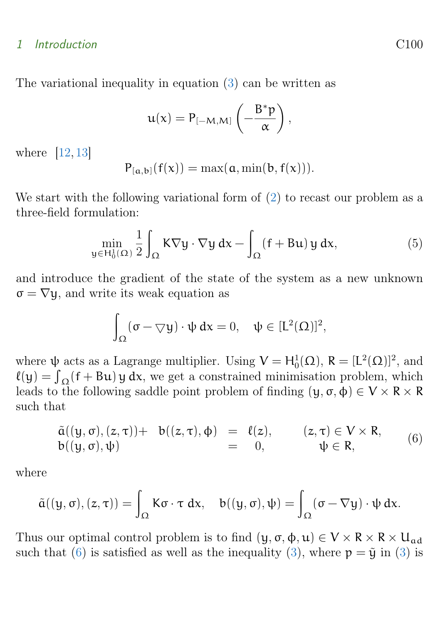#### <span id="page-3-1"></span>1 Introduction C100

The variational inequality in equation [\(3\)](#page-2-0) can be written as

$$
\mathfrak{u}(\mathsf{x}) = \mathsf{P}_{[-\mathsf{M},\mathsf{M}]} \left( -\frac{\mathsf{B}^*\mathsf{p}}{\alpha} \right),
$$

where [\[12,](#page-13-1) [13\]](#page-13-0)

$$
P_{[\alpha,b]}(f(x))=\max(\alpha,\min(b,f(x))).
$$

We start with the following variational form of  $(2)$  to recast our problem as a three-field formulation:

$$
\min_{y \in H_0^1(\Omega)} \frac{1}{2} \int_{\Omega} K \nabla y \cdot \nabla y \, dx - \int_{\Omega} (f + Bu) \, y \, dx,\tag{5}
$$

and introduce the gradient of the state of the system as a new unknown  $\sigma = \nabla y$ , and write its weak equation as

$$
\int_\Omega (\sigma-\bigtriangledown y)\cdot\psi\,dx=0,\quad \psi\in [L^2(\Omega)]^2,
$$

where  $\psi$  acts as a Lagrange multiplier. Using  $V = H_0^1(\Omega)$ ,  $R = [L^2(\Omega)]^2$ , and  $\ell(y) = \int_{\Omega} (f + Bu) y dx$ , we get a constrained minimisation problem, which leads to the following saddle point problem of finding  $(\mathfrak{y}, \sigma, \phi) \in V \times R \times R$ such that

<span id="page-3-0"></span>
$$
\tilde{a}((y,\sigma),(z,\tau))+ b((z,\tau),\phi) = \ell(z), \qquad (z,\tau) \in V \times R, \n b((y,\sigma),\psi) = 0, \qquad \psi \in R,
$$
\n(6)

where

$$
\tilde{\alpha}((y,\sigma),(z,\tau)) = \int_{\Omega} K\sigma\cdot \tau \ dx, \quad b((y,\sigma),\psi) = \int_{\Omega} (\sigma - \nabla y) \cdot \psi \ dx.
$$

Thus our optimal control problem is to find  $(y, \sigma, \phi, u) \in V \times R \times R \times U_{ad}$ such that [\(6\)](#page-3-0) is satisfied as well as the inequality [\(3\)](#page-2-0), where  $p = \tilde{y}$  in (3) is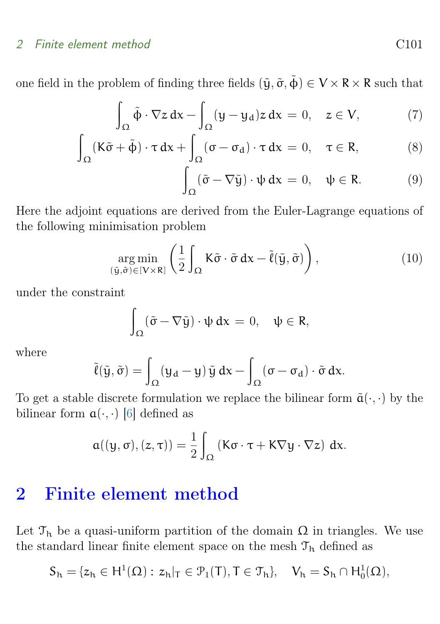### <span id="page-4-1"></span>2 Finite element method C101

one field in the problem of finding three fields  $(\tilde{y}, \tilde{\sigma}, \tilde{\phi}) \in V \times R \times R$  such that

$$
\int_{\Omega} \tilde{\phi} \cdot \nabla z \, dx - \int_{\Omega} (y - y_d) z \, dx = 0, \quad z \in V,
$$
 (7)

$$
\int_{\Omega} (\mathbf{K}\tilde{\sigma} + \tilde{\boldsymbol{\Phi}}) \cdot \boldsymbol{\tau} \, d\mathbf{x} + \int_{\Omega} (\boldsymbol{\sigma} - \boldsymbol{\sigma}_d) \cdot \boldsymbol{\tau} \, d\mathbf{x} = 0, \quad \boldsymbol{\tau} \in \mathbf{R}, \tag{8}
$$

$$
\int_{\Omega} (\tilde{\sigma} - \nabla \tilde{y}) \cdot \psi \, dx = 0, \quad \psi \in \mathsf{R}.
$$
 (9)

Here the adjoint equations are derived from the Euler-Lagrange equations of the following minimisation problem

$$
\underset{(\tilde{\mathbf{y}},\tilde{\sigma}) \in [V \times R]}{\arg \min} \left( \frac{1}{2} \int_{\Omega} \mathbf{K} \tilde{\sigma} \cdot \tilde{\sigma} \, d\mathbf{x} - \tilde{\ell}(\tilde{\mathbf{y}}, \tilde{\sigma}) \right), \tag{10}
$$

under the constraint

$$
\int_{\Omega} (\tilde{\sigma} - \nabla \tilde{y}) \cdot \psi \, dx = 0, \quad \psi \in R,
$$

where

$$
\tilde{\ell}(\tilde{y},\tilde{\sigma})=\int_{\Omega}(y_d-y)\,\tilde{y}\,dx-\int_{\Omega}(\sigma-\sigma_d)\cdot\tilde{\sigma}\,dx.
$$

To get a stable discrete formulation we replace the bilinear form  $\tilde{a}(\cdot, \cdot)$  by the bilinear form  $a(\cdot, \cdot)$  [\[6\]](#page-12-5) defined as

$$
\mathfrak{a}((y,\sigma),(z,\tau))=\frac{1}{2}\int_{\Omega}\left(\mathsf{K}\sigma\cdot\tau+\mathsf{K}\nabla y\cdot\nabla z\right)\,dx.
$$

# <span id="page-4-0"></span>2 Finite element method

Let  $\mathcal{T}_h$  be a quasi-uniform partition of the domain  $\Omega$  in triangles. We use the standard linear finite element space on the mesh  $\mathfrak{T}_h$  defined as

$$
S_h=\{z_h\in H^1(\Omega): \, z_h|_T\in \mathcal{P}_1(T), T\in \mathcal{T}_h\}, \quad V_h=S_h\cap H^1_0(\Omega),
$$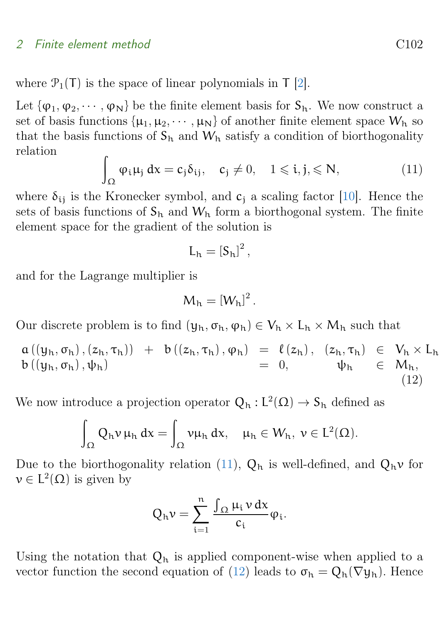#### <span id="page-5-2"></span>2 Finite element method C102

Let  $\{\varphi_1, \varphi_2, \cdots, \varphi_N\}$  be the finite element basis for  $S_h$ . We now construct a set of basis functions  $\{\mu_1, \mu_2, \cdots, \mu_N\}$  of another finite element space  $W_h$  so that the basis functions of  $S_h$  and  $W_h$  satisfy a condition of biorthogonality relation

<span id="page-5-0"></span>
$$
\int_{\Omega} \varphi_i \mu_j \, dx = c_j \delta_{ij}, \quad c_j \neq 0, \quad 1 \leqslant i, j, \leqslant N,
$$
\n(11)

where  $\delta_{ii}$  is the Kronecker symbol, and  $c_i$  a scaling factor [\[10\]](#page-13-2). Hence the sets of basis functions of  $S_h$  and  $W_h$  form a biorthogonal system. The finite element space for the gradient of the solution is

$$
L_h = \left[S_h\right]^2,
$$

and for the Lagrange multiplier is

$$
M_{h}=[W_{h}]^{2}.
$$

Our discrete problem is to find  $(y_h, \sigma_h, \varphi_h) \in V_h \times L_h \times M_h$  such that

<span id="page-5-1"></span> $a((y_h, \sigma_h), (z_h, \tau_h)) + b((z_h, \tau_h), \varphi_h) = \ell(z_h), (z_h, \tau_h) \in V_h \times L_h$  $b((y_h, \sigma_h), \psi_h)$  = 0,  $\psi_h \in M_h$ , (12)

We now introduce a projection operator  $Q_h: L^2(\Omega) \to S_h$  defined as

$$
\int_\Omega Q_h\nu\,\mu_h\,dx=\int_\Omega \nu\mu_h\,dx,\quad \mu_h\in W_h,\ \nu\in L^2(\Omega).
$$

Due to the biorthogonality relation [\(11\)](#page-5-0),  $Q_h$  is well-defined, and  $Q_h\nu$  for  $v \in L^2(\Omega)$  is given by

$$
Q_h \nu = \sum_{i=1}^n \frac{\int_{\Omega} \mu_i \nu \, dx}{c_i} \varphi_i.
$$

Using the notation that  $Q_h$  is applied component-wise when applied to a vector function the second equation of [\(12\)](#page-5-1) leads to  $\sigma_h = Q_h(\nabla y_h)$ . Hence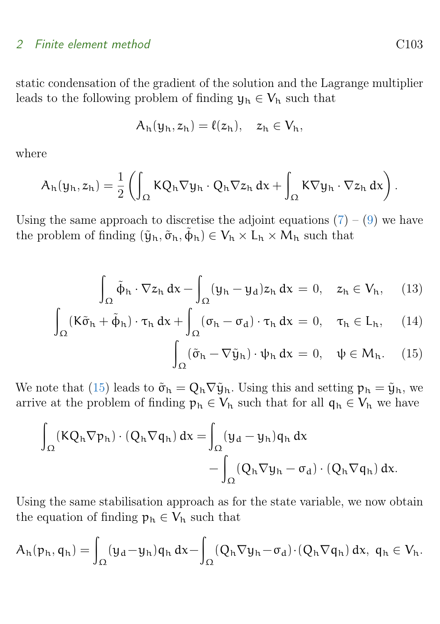### 2 Finite element method C103

static condensation of the gradient of the solution and the Lagrange multiplier leads to the following problem of finding  $y_h \in V_h$  such that

$$
A_h(y_h, z_h) = \ell(z_h), \quad z_h \in V_h,
$$

where

$$
A_h(y_h, z_h) = \frac{1}{2} \left( \int_{\Omega} K Q_h \nabla y_h \cdot Q_h \nabla z_h \, dx + \int_{\Omega} K \nabla y_h \cdot \nabla z_h \, dx \right).
$$

Using the same approach to discretise the adjoint equations  $(7) - (9)$  $(7) - (9)$  $(7) - (9)$  we have the problem of finding  $(\tilde{y}_h, \tilde{\sigma}_h, \tilde{\phi}_h) \in V_h \times L_h \times M_h$  such that

$$
\int_{\Omega} \tilde{\phi}_h \cdot \nabla z_h \, dx - \int_{\Omega} (y_h - y_d) z_h \, dx = 0, \quad z_h \in V_h, \quad (13)
$$

$$
\int_{\Omega} (K\tilde{\sigma}_h + \tilde{\varphi}_h) \cdot \tau_h \, dx + \int_{\Omega} (\sigma_h - \sigma_d) \cdot \tau_h \, dx = 0, \quad \tau_h \in L_h, \quad (14)
$$

$$
\int_{\Omega} (\tilde{\sigma}_{h} - \nabla \tilde{y}_{h}) \cdot \psi_{h} \, dx = 0, \quad \psi \in M_{h}.
$$
 (15)

We note that [\(15\)](#page-5-1) leads to  $\tilde{\sigma}_h = Q_h \nabla \tilde{y}_h$ . Using this and setting  $p_h = \tilde{y}_h$ , we arrive at the problem of finding  $p_h \in V_h$  such that for all  $q_h \in V_h$  we have

$$
\int_{\Omega} (KQ_h \nabla p_h) \cdot (Q_h \nabla q_h) dx = \int_{\Omega} (y_d - y_h) q_h dx - \int_{\Omega} (Q_h \nabla y_h - \sigma_d) \cdot (Q_h \nabla q_h) dx.
$$

Using the same stabilisation approach as for the state variable, we now obtain the equation of finding  $p_h \in V_h$  such that

$$
A_h(p_h,q_h)=\int_{\Omega}(y_d-y_h)q_h\,dx-\int_{\Omega}(Q_h\nabla y_h-\sigma_d)\cdot (Q_h\nabla q_h)\,dx,\;q_h\in V_h.
$$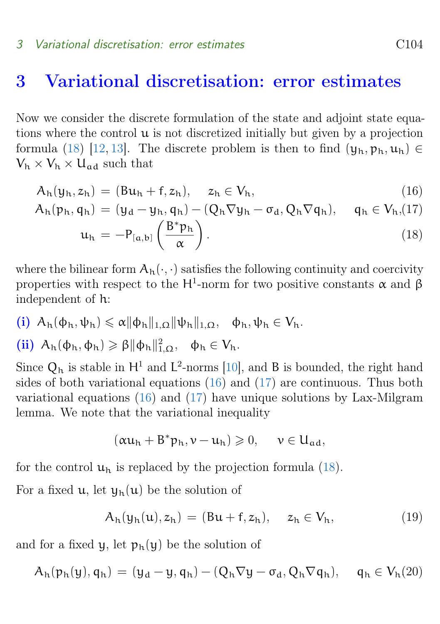#### <span id="page-7-1"></span>3 Variational discretisation: error estimates C104

### <span id="page-7-0"></span>3 Variational discretisation: error estimates

Now we consider the discrete formulation of the state and adjoint state equations where the control  $\mu$  is not discretized initially but given by a projection formula [\(18\)](#page-7-0) [\[12,](#page-13-1) [13\]](#page-13-0). The discrete problem is then to find  $(\mathbf{y}_h, \mathbf{p}_h, \mathbf{u}_h) \in$  $V_h \times V_h \times U_{ad}$  such that

$$
A_h(y_h, z_h) = (Bu_h + f, z_h), \quad z_h \in V_h,
$$
\n(16)

$$
A_h(p_h, q_h) = (y_d - y_h, q_h) - (Q_h \nabla y_h - \sigma_d, Q_h \nabla q_h), \quad q_h \in V_h, (17)
$$

$$
\mathfrak{u}_{h} = -P_{[a,b]} \left( \frac{\mathbf{B}^* \mathfrak{p}_h}{\alpha} \right). \tag{18}
$$

where the bilinear form  $A_h(\cdot, \cdot)$  satisfies the following continuity and coercivity properties with respect to the H<sup>1</sup>-norm for two positive constants  $\alpha$  and  $\beta$ independent of h:

$$
\textbf{(i)}~~A_h(\varphi_h,\psi_h)\leqslant \alpha\|\varphi_h\|_{1,\Omega}\|\psi_h\|_{1,\Omega},\quad \varphi_h,\psi_h\in V_h.
$$

$$
\textbf{(ii)}~~A_h(\varphi_h,\varphi_h)\geqslant\beta\|\varphi_h\|_{1,\Omega}^2,~~\varphi_h\in V_h.
$$

Since  $Q_h$  is stable in  $H^1$  and  $L^2$ -norms [\[10\]](#page-13-2), and B is bounded, the right hand sides of both variational equations  $(16)$  and  $(17)$  are continuous. Thus both variational equations [\(16\)](#page-7-0) and [\(17\)](#page-7-0) have unique solutions by Lax-Milgram lemma. We note that the variational inequality

$$
(\alpha u_h+B^*p_h,\nu-u_h)\geqslant 0,\quad \ \nu\in U_{\alpha d},
$$

for the control  $u_h$  is replaced by the projection formula [\(18\)](#page-7-0).

For a fixed  $u$ , let  $y_h(u)$  be the solution of

$$
A_h(y_h(u), z_h) = (Bu + f, z_h), \quad z_h \in V_h,
$$
\n(19)

and for a fixed  $\psi$ , let  $p_h(\psi)$  be the solution of

$$
A_h(p_h(y), q_h) = (y_d - y, q_h) - (Q_h \nabla y - \sigma_d, Q_h \nabla q_h), \quad q_h \in V_h(20)
$$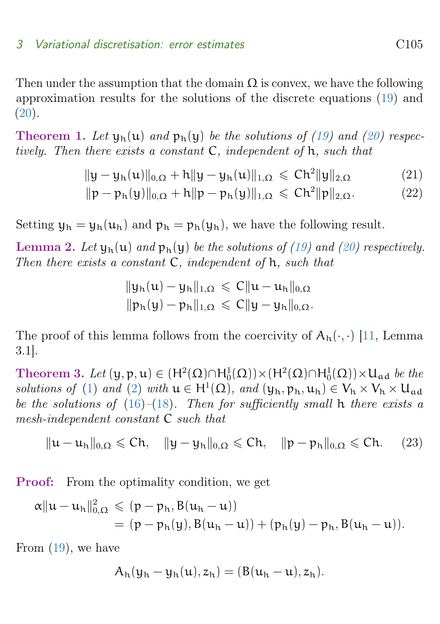### <span id="page-8-2"></span>3 Variational discretisation: error estimates C105

Then under the assumption that the domain  $\Omega$  is convex, we have the following approximation results for the solutions of the discrete equations [\(19\)](#page-7-0) and  $(20).$  $(20).$ 

<span id="page-8-0"></span>**Theorem 1.** Let  $\psi_h(u)$  and  $\psi_h(v)$  be the solutions of [\(19\)](#page-7-0) and [\(20\)](#page-7-0) respectively. Then there exists a constant C, independent of h, such that

$$
\|y - y_h(u)\|_{0,\Omega} + h\|y - y_h(u)\|_{1,\Omega} \leqslant Ch^2 \|y\|_{2,\Omega}
$$
 (21)

$$
\|p - p_h(y)\|_{0,\Omega} + h\|p - p_h(y)\|_{1,\Omega} \leqslant Ch^2 \|p\|_{2,\Omega}.
$$
 (22)

Setting  $y_h = y_h(u_h)$  and  $p_h = p_h(y_h)$ , we have the following result.

<span id="page-8-1"></span>**Lemma 2.** Let  $\psi_h(u)$  and  $\psi_h(y)$  be the solutions of [\(19\)](#page-7-0) and [\(20\)](#page-7-0) respectively. Then there exists a constant  $C$ , independent of  $h$ , such that

$$
\|y_h(u)-y_h\|_{1,\Omega}\leqslant C\|u-u_h\|_{0,\Omega}
$$
  

$$
\|p_h(y)-p_h\|_{1,\Omega}\leqslant C\|y-y_h\|_{0,\Omega}.
$$

The proof of this lemma follows from the coercivity of  $A_h(\cdot, \cdot)$  [\[11,](#page-13-3) Lemma 3.1].

Theorem 3. Let  $(y, p, u) \in (H^2(\Omega) \cap H_0^1(\Omega)) \times (H^2(\Omega) \cap H_0^1(\Omega)) \times U_{ad}$  be the solutions of [\(1\)](#page-1-0) and [\(2\)](#page-2-0) with  $u \in H^1(\Omega)$ , and  $(y_h, p_h, u_h) \in V_h \times V_h \times U_{ad}$ be the solutions of  $(16)$ – $(18)$ . Then for sufficiently small h there exists a mesh-independent constant C such that

$$
\|u-u_h\|_{0,\Omega}\leqslant Ch,\quad \|y-y_h\|_{0,\Omega}\leqslant Ch,\quad \|p-p_h\|_{0,\Omega}\leqslant Ch.\quad \ (23)
$$

Proof: From the optimality condition, we get

$$
\begin{aligned} \alpha\|u-u_h\|^2_{0,\Omega}&\leqslant (p-p_h,B(u_h-u))\\&=(p-p_h(y),B(u_h-u))+(p_h(y)-p_h,B(u_h-u)).\end{aligned}
$$

From [\(19\)](#page-7-0), we have

$$
A_h(y_h - y_h(u), z_h) = (B(u_h - u), z_h).
$$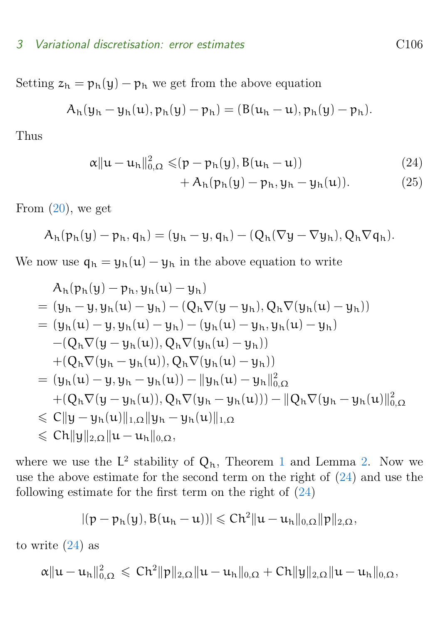Setting  $z_h = p_h(y) - p_h$  we get from the above equation

$$
A_h(y_h - y_h(u), p_h(y) - p_h) = (B(u_h - u), p_h(y) - p_h).
$$

Thus

$$
\alpha \|u - u_h\|_{0,\Omega}^2 \leqslant (p - p_h(y), B(u_h - u)) \tag{24}
$$

<span id="page-9-0"></span>
$$
+A_h(p_h(y)-p_h,y_h-y_h(u)). \t(25)
$$

From  $(20)$ , we get

$$
A_h(p_h(y)-p_h,q_h)=(y_h-y,q_h)-(Q_h(\nabla y-\nabla y_h),Q_h\nabla q_h).
$$

We now use  $q_h = y_h(u) - y_h$  in the above equation to write

$$
A_h(p_h(y) - p_h, y_h(u) - y_h)
$$
  
=  $(y_h - y, y_h(u) - y_h) - (Q_h \nabla (y - y_h), Q_h \nabla (y_h(u) - y_h))$   
=  $(y_h(u) - y, y_h(u) - y_h) - (y_h(u) - y_h, y_h(u) - y_h)$   
 $- (Q_h \nabla (y - y_h(u)), Q_h \nabla (y_h(u) - y_h))$   
+  $(Q_h \nabla (y_h - y_h(u)), Q_h \nabla (y_h(u) - y_h))$   
=  $(y_h(u) - y, y_h - y_h(u)) - ||y_h(u) - y_h||_{0,\Omega}^2$   
+  $(Q_h \nabla (y - y_h(u)), Q_h \nabla (y_h - y_h(u))) - ||Q_h \nabla (y_h - y_h(u)||_{0,\Omega}^2)$   
 $\leq C ||y - y_h(u)||_{1,\Omega} ||y_h - y_h(u)||_{1,\Omega}$   
 $\leq C ||y||_{2,\Omega} ||u - u_h||_{0,\Omega},$ 

where we use the  $L^2$  stability of  $Q_h$ , Theorem [1](#page-8-0) and Lemma [2.](#page-8-1) Now we use the above estimate for the second term on the right of [\(24\)](#page-9-0) and use the following estimate for the first term on the right of  $(24)$ 

$$
|(p-p_h(y),B(u_h-u))|\leqslant Ch^2\|u-u_h\|_{0,\Omega}\|p\|_{2,\Omega},
$$

to write  $(24)$  as

$$
\alpha\|u-u_h\|^2_{0,\Omega}\,\leqslant\, Ch^2\|p\|_{2,\Omega}\|u-u_h\|_{0,\Omega}+Ch\|y\|_{2,\Omega}\|u-u_h\|_{0,\Omega},
$$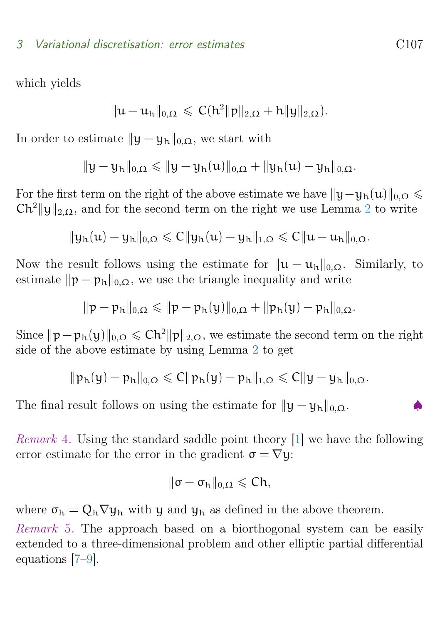#### <span id="page-10-0"></span>3 Variational discretisation: error estimates C107

which yields

$$
\|u-u_h\|_{0,\Omega}\,\leqslant\, C(h^2\|p\|_{2,\Omega}+h\|y\|_{2,\Omega}).
$$

In order to estimate  $||y - y_h||_{0,\Omega}$ , we start with

$$
\|y-y_h\|_{0,\Omega}\leqslant \|y-y_h(u)\|_{0,\Omega}+\|y_h(u)-y_h\|_{0,\Omega}.
$$

For the first term on the right of the above estimate we have  $||y-y_h(u)||_{0,\Omega} \leq$  $Ch^2||y||_{2,\Omega}$  $Ch^2||y||_{2,\Omega}$  $Ch^2||y||_{2,\Omega}$ , and for the second term on the right we use Lemma 2 to write

$$
\|y_h(u)-y_h\|_{0,\Omega}\leqslant C\|y_h(u)-y_h\|_{1,\Omega}\leqslant C\|u-u_h\|_{0,\Omega}.
$$

Now the result follows using the estimate for  $\|\mathbf{u} - \mathbf{u}_h\|_{0,\Omega}$ . Similarly, to estimate  $\|\mathbf{p} - \mathbf{p}_h\|_{0,\Omega}$ , we use the triangle inequality and write

$$
\|p-p_h\|_{0,\Omega}\leqslant \|p-p_h(y)\|_{0,\Omega}+\|p_h(y)-p_h\|_{0,\Omega}.
$$

Since  $\|\mathbf{p} - \mathbf{p}_h(\mathbf{y})\|_{0,\Omega} \leq C\hbar^2 \|\mathbf{p}\|_{2,\Omega}$ , we estimate the second term on the right side of the above estimate by using Lemma [2](#page-8-1) to get

$$
\|p_h(y)-p_h\|_{0,\Omega}\leqslant C\|p_h(y)-p_h\|_{1,\Omega}\leqslant C\|y-y_h\|_{0,\Omega}.
$$

The final result follows on using the estimate for  $||y - y_h||_{0,\Omega}$ .

Remark 4. Using the standard saddle point theory [\[1\]](#page-12-1) we have the following error estimate for the error in the gradient  $\sigma = \nabla y$ :

$$
\|\sigma-\sigma_h\|_{0,\Omega}\leqslant Ch,
$$

where  $\sigma_h = Q_h \nabla y_h$  with y and  $y_h$  as defined in the above theorem.

Remark 5. The approach based on a biorthogonal system can be easily extended to a three-dimensional problem and other elliptic partial differential equations [\[7–](#page-12-6)[9\]](#page-13-4).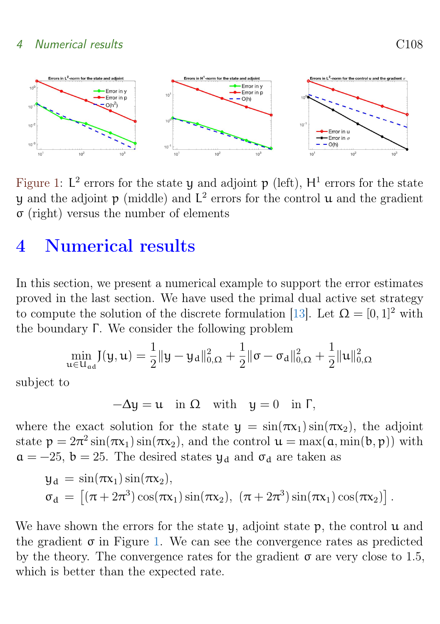### <span id="page-11-2"></span>4 Numerical results C108

<span id="page-11-1"></span>

Figure 1:  $L^2$  errors for the state y and adjoint p (left),  $H^1$  errors for the state y and the adjoint  $p \text{ (middle)}$  and  $L^2$  errors for the control  $u$  and the gradient σ (right) versus the number of elements

# <span id="page-11-0"></span>4 Numerical results

In this section, we present a numerical example to support the error estimates proved in the last section. We have used the primal dual active set strategy to compute the solution of the discrete formulation [\[13\]](#page-13-0). Let  $\Omega = [0,1]^2$  with the boundary  $\Gamma$ . We consider the following problem

$$
\min_{\mathbf{u}\in\mathbf{U}_{ad}} J(\mathbf{y}, \mathbf{u}) = \frac{1}{2} \|\mathbf{y} - \mathbf{y}_d\|_{0,\Omega}^2 + \frac{1}{2} \|\sigma - \sigma_d\|_{0,\Omega}^2 + \frac{1}{2} \|\mathbf{u}\|_{0,\Omega}^2
$$

subject to

 $-\Delta y = u$  in  $\Omega$  with  $y = 0$  in  $\Gamma$ ,

where the exact solution for the state  $y = sin(\pi x_1)sin(\pi x_2)$ , the adjoint state  $p = 2\pi^2 \sin(\pi x_1) \sin(\pi x_2)$ , and the control  $u = \max(a, \min(b, p))$  with  $a = -25$ ,  $b = 25$ . The desired states  $y_d$  and  $\sigma_d$  are taken as

$$
y_d = \sin(\pi x_1) \sin(\pi x_2),
$$
  
\n
$$
\sigma_d = [(\pi + 2\pi^3) \cos(\pi x_1) \sin(\pi x_2), (\pi + 2\pi^3) \sin(\pi x_1) \cos(\pi x_2)].
$$

We have shown the errors for the state  $\gamma$ , adjoint state  $\gamma$ , the control  $\alpha$  and the gradient  $\sigma$  in Figure [1.](#page-11-1) We can see the convergence rates as predicted by the theory. The convergence rates for the gradient  $\sigma$  are very close to 1.5, which is better than the expected rate.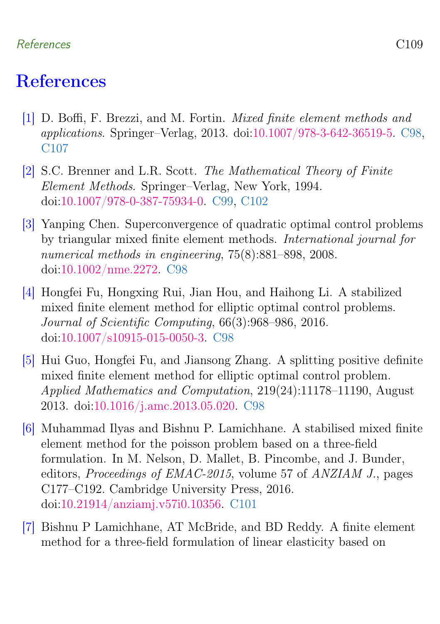### References C109

# <span id="page-12-0"></span>References

- <span id="page-12-1"></span>[1] D. Boffi, F. Brezzi, and M. Fortin. Mixed finite element methods and applications. Springer–Verlag, 2013. doi[:10.1007/978-3-642-36519-5.](https://doi.org/10.1007/978-3-642-36519-5) [C98,](#page-1-1) [C107](#page-10-0)
- <span id="page-12-4"></span>[2] S.C. Brenner and L.R. Scott. The Mathematical Theory of Finite Element Methods. Springer–Verlag, New York, 1994. doi[:10.1007/978-0-387-75934-0.](https://doi.org/10.1007/978-0-387-75934-0) [C99,](#page-2-1) [C102](#page-5-2)
- <span id="page-12-2"></span>[3] Yanping Chen. Superconvergence of quadratic optimal control problems by triangular mixed finite element methods. International journal for numerical methods in engineering, 75(8):881–898, 2008. doi[:10.1002/nme.2272.](https://doi.org/10.1002/nme.2272) [C98](#page-1-1)
- [4] Hongfei Fu, Hongxing Rui, Jian Hou, and Haihong Li. A stabilized mixed finite element method for elliptic optimal control problems. Journal of Scientific Computing, 66(3):968–986, 2016. doi[:10.1007/s10915-015-0050-3.](https://doi.org/10.1007/s10915-015-0050-3) [C98](#page-1-1)
- <span id="page-12-3"></span>[5] Hui Guo, Hongfei Fu, and Jiansong Zhang. A splitting positive definite mixed finite element method for elliptic optimal control problem. Applied Mathematics and Computation, 219(24):11178–11190, August 2013. doi[:10.1016/j.amc.2013.05.020.](https://doi.org/10.1016/j.amc.2013.05.020) [C98](#page-1-1)
- <span id="page-12-5"></span>[6] Muhammad Ilyas and Bishnu P. Lamichhane. A stabilised mixed finite element method for the poisson problem based on a three-field formulation. In M. Nelson, D. Mallet, B. Pincombe, and J. Bunder, editors, Proceedings of EMAC-2015, volume 57 of ANZIAM J., pages C177–C192. Cambridge University Press, 2016. doi[:10.21914/anziamj.v57i0.10356.](https://doi.org/10.21914/anziamj.v57i0.10356) [C101](#page-4-1)
- <span id="page-12-6"></span>[7] Bishnu P Lamichhane, AT McBride, and BD Reddy. A finite element method for a three-field formulation of linear elasticity based on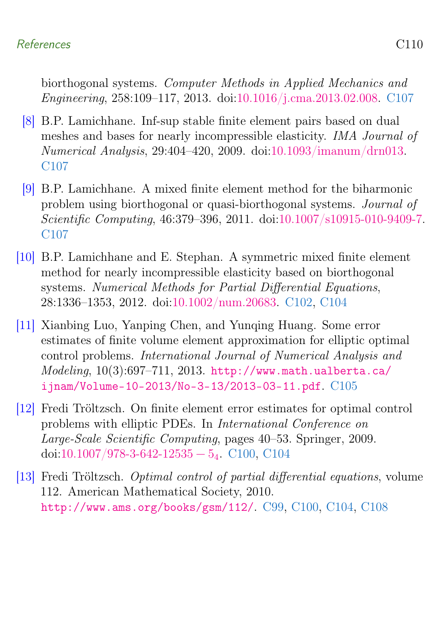### References C110

biorthogonal systems. Computer Methods in Applied Mechanics and Engineering, 258:109–117, 2013. doi[:10.1016/j.cma.2013.02.008.](https://doi.org/10.1016/j.cma.2013.02.008) [C107](#page-10-0)

- [8] B.P. Lamichhane. Inf-sup stable finite element pairs based on dual meshes and bases for nearly incompressible elasticity. IMA Journal of Numerical Analysis, 29:404–420, 2009. doi[:10.1093/imanum/drn013.](https://doi.org/10.1093/imanum/drn013) [C107](#page-10-0)
- <span id="page-13-4"></span>[9] B.P. Lamichhane. A mixed finite element method for the biharmonic problem using biorthogonal or quasi-biorthogonal systems. Journal of Scientific Computing, 46:379–396, 2011. doi[:10.1007/s10915-010-9409-7.](https://doi.org/10.1007/s10915-010-9409-7) [C107](#page-10-0)
- <span id="page-13-2"></span>[10] B.P. Lamichhane and E. Stephan. A symmetric mixed finite element method for nearly incompressible elasticity based on biorthogonal systems. Numerical Methods for Partial Differential Equations, 28:1336–1353, 2012. doi[:10.1002/num.20683.](https://doi.org/10.1002/num.20683) [C102,](#page-5-2) [C104](#page-7-1)
- <span id="page-13-3"></span>[11] Xianbing Luo, Yanping Chen, and Yunqing Huang. Some error estimates of finite volume element approximation for elliptic optimal control problems. International Journal of Numerical Analysis and  $Modeling, 10(3):697-711, 2013. \text{http://www.math.ualberta.ca/}$  $Modeling, 10(3):697-711, 2013. \text{http://www.math.ualberta.ca/}$  $Modeling, 10(3):697-711, 2013. \text{http://www.math.ualberta.ca/}$ [ijnam/Volume-10-2013/No-3-13/2013-03-11.pdf](http://www.math.ualberta.ca/ijnam/Volume-10-2013/No-3-13/2013-03-11.pdf). [C105](#page-8-2)
- <span id="page-13-1"></span>[12] Fredi Tröltzsch. On finite element error estimates for optimal control problems with elliptic PDEs. In International Conference on Large-Scale Scientific Computing, pages 40–53. Springer, 2009. doi[:10.1007/978-3-642-](https://doi.org/10.1007/978-3-642-$12535-5_4$)12535  $-$  5<sub>4</sub>. [C100,](#page-3-1) [C104](#page-7-1)
- <span id="page-13-0"></span>[13] Fredi Tröltzsch. Optimal control of partial differential equations, volume 112. American Mathematical Society, 2010. <http://www.ams.org/books/gsm/112/>. [C99,](#page-2-1) [C100,](#page-3-1) [C104,](#page-7-1) [C108](#page-11-2)